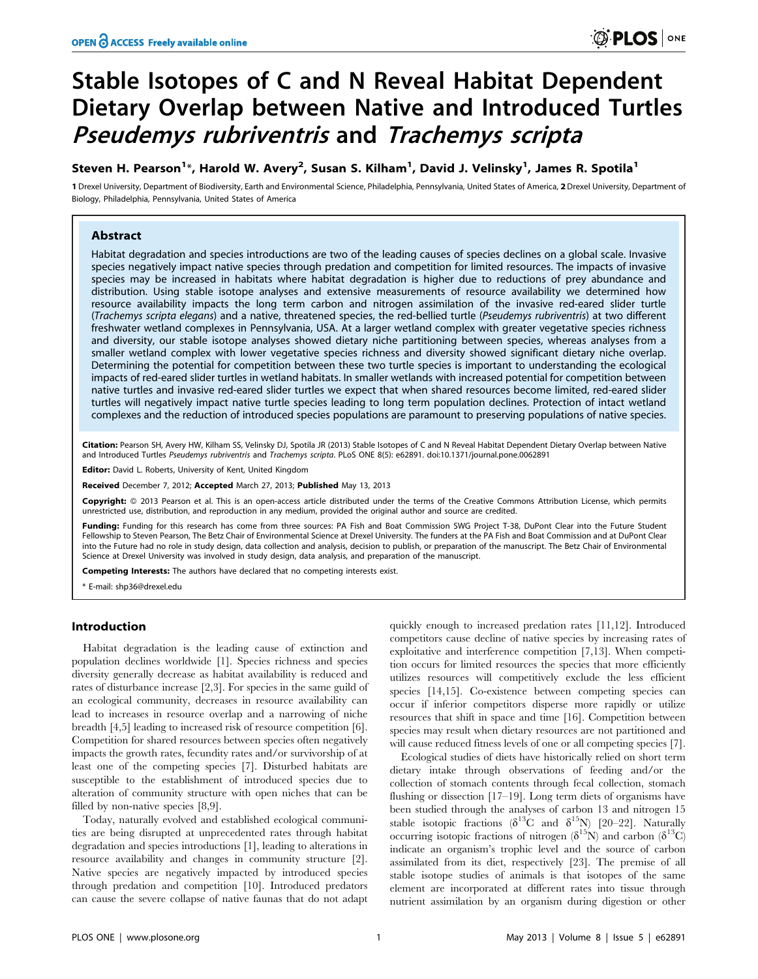# Stable Isotopes of C and N Reveal Habitat Dependent Dietary Overlap between Native and Introduced Turtles Pseudemys rubriventris and Trachemys scripta

# Steven H. Pearson $^{1*}$ , Harold W. Avery $^{2}$ , Susan S. Kilham $^{1}$ , David J. Velinsky $^{1}$ , James R. Spotila $^{1}$

1 Drexel University, Department of Biodiversity, Earth and Environmental Science, Philadelphia, Pennsylvania, United States of America, 2 Drexel University, Department of Biology, Philadelphia, Pennsylvania, United States of America

## Abstract

Habitat degradation and species introductions are two of the leading causes of species declines on a global scale. Invasive species negatively impact native species through predation and competition for limited resources. The impacts of invasive species may be increased in habitats where habitat degradation is higher due to reductions of prey abundance and distribution. Using stable isotope analyses and extensive measurements of resource availability we determined how resource availability impacts the long term carbon and nitrogen assimilation of the invasive red-eared slider turtle (Trachemys scripta elegans) and a native, threatened species, the red-bellied turtle (Pseudemys rubriventris) at two different freshwater wetland complexes in Pennsylvania, USA. At a larger wetland complex with greater vegetative species richness and diversity, our stable isotope analyses showed dietary niche partitioning between species, whereas analyses from a smaller wetland complex with lower vegetative species richness and diversity showed significant dietary niche overlap. Determining the potential for competition between these two turtle species is important to understanding the ecological impacts of red-eared slider turtles in wetland habitats. In smaller wetlands with increased potential for competition between native turtles and invasive red-eared slider turtles we expect that when shared resources become limited, red-eared slider turtles will negatively impact native turtle species leading to long term population declines. Protection of intact wetland complexes and the reduction of introduced species populations are paramount to preserving populations of native species.

Citation: Pearson SH, Avery HW, Kilham SS, Velinsky DJ, Spotila JR (2013) Stable Isotopes of C and N Reveal Habitat Dependent Dietary Overlap between Native and Introduced Turtles Pseudemys rubriventris and Trachemys scripta. PLoS ONE 8(5): e62891. doi:10.1371/journal.pone.0062891

Editor: David L. Roberts, University of Kent, United Kingdom

Received December 7, 2012; Accepted March 27, 2013; Published May 13, 2013

**Copyright:** © 2013 Pearson et al. This is an open-access article distributed under the terms of the Creative Commons Attribution License, which permits unrestricted use, distribution, and reproduction in any medium, provided the original author and source are credited.

Funding: Funding for this research has come from three sources: PA Fish and Boat Commission SWG Project T-38, DuPont Clear into the Future Student Fellowship to Steven Pearson, The Betz Chair of Environmental Science at Drexel University. The funders at the PA Fish and Boat Commission and at DuPont Clear into the Future had no role in study design, data collection and analysis, decision to publish, or preparation of the manuscript. The Betz Chair of Environmental Science at Drexel University was involved in study design, data analysis, and preparation of the manuscript.

Competing Interests: The authors have declared that no competing interests exist.

\* E-mail: shp36@drexel.edu

#### Introduction

Habitat degradation is the leading cause of extinction and population declines worldwide [1]. Species richness and species diversity generally decrease as habitat availability is reduced and rates of disturbance increase [2,3]. For species in the same guild of an ecological community, decreases in resource availability can lead to increases in resource overlap and a narrowing of niche breadth [4,5] leading to increased risk of resource competition [6]. Competition for shared resources between species often negatively impacts the growth rates, fecundity rates and/or survivorship of at least one of the competing species [7]. Disturbed habitats are susceptible to the establishment of introduced species due to alteration of community structure with open niches that can be filled by non-native species [8,9].

Today, naturally evolved and established ecological communities are being disrupted at unprecedented rates through habitat degradation and species introductions [1], leading to alterations in resource availability and changes in community structure [2]. Native species are negatively impacted by introduced species through predation and competition [10]. Introduced predators can cause the severe collapse of native faunas that do not adapt

quickly enough to increased predation rates [11,12]. Introduced competitors cause decline of native species by increasing rates of exploitative and interference competition [7,13]. When competition occurs for limited resources the species that more efficiently utilizes resources will competitively exclude the less efficient species [14,15]. Co-existence between competing species can occur if inferior competitors disperse more rapidly or utilize resources that shift in space and time [16]. Competition between species may result when dietary resources are not partitioned and will cause reduced fitness levels of one or all competing species [7].

Ecological studies of diets have historically relied on short term dietary intake through observations of feeding and/or the collection of stomach contents through fecal collection, stomach flushing or dissection [17–19]. Long term diets of organisms have been studied through the analyses of carbon 13 and nitrogen 15 stable isotopic fractions  $(\delta^{13}C \text{ and } \delta^{15}N)$  [20–22]. Naturally occurring isotopic fractions of nitrogen  $(\delta^{15}N)$  and carbon  $(\delta^{13}C)$ indicate an organism's trophic level and the source of carbon assimilated from its diet, respectively [23]. The premise of all stable isotope studies of animals is that isotopes of the same element are incorporated at different rates into tissue through nutrient assimilation by an organism during digestion or other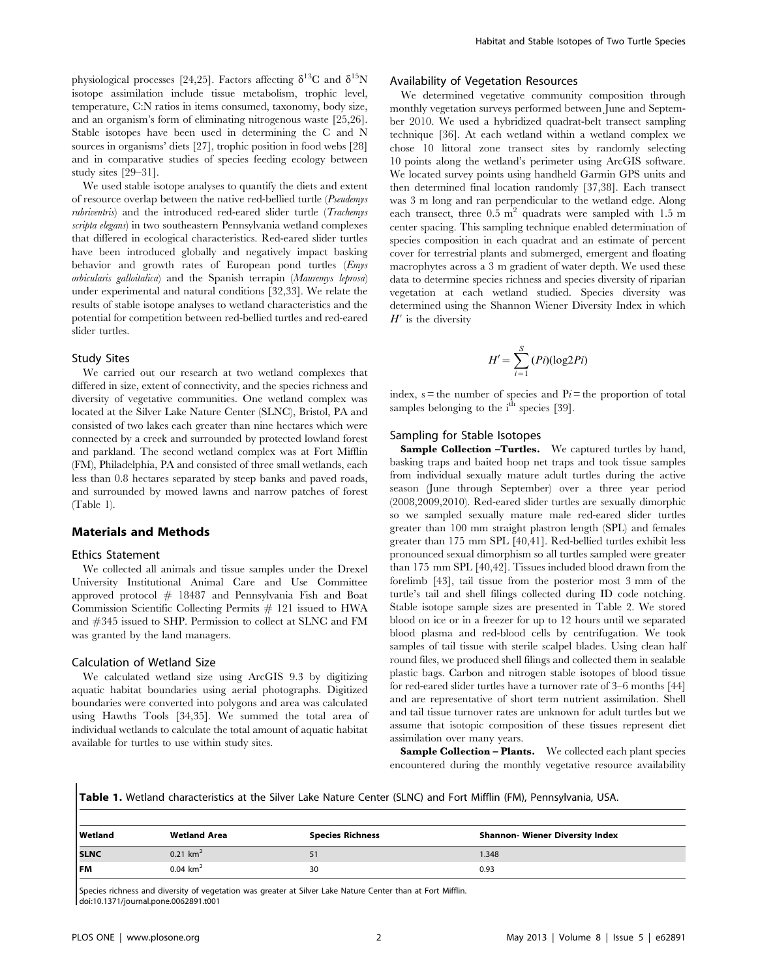physiological processes [24,25]. Factors affecting  $\delta^{13}C$  and  $\delta^{15}N$ isotope assimilation include tissue metabolism, trophic level, temperature, C:N ratios in items consumed, taxonomy, body size, and an organism's form of eliminating nitrogenous waste [25,26]. Stable isotopes have been used in determining the C and N sources in organisms' diets [27], trophic position in food webs [28] and in comparative studies of species feeding ecology between study sites [29–31].

We used stable isotope analyses to quantify the diets and extent of resource overlap between the native red-bellied turtle (Pseudemys rubriventris) and the introduced red-eared slider turtle (Trachemys scripta elegans) in two southeastern Pennsylvania wetland complexes that differed in ecological characteristics. Red-eared slider turtles have been introduced globally and negatively impact basking behavior and growth rates of European pond turtles (Emys orbicularis galloitalica) and the Spanish terrapin (Mauremys leprosa) under experimental and natural conditions [32,33]. We relate the results of stable isotope analyses to wetland characteristics and the potential for competition between red-bellied turtles and red-eared slider turtles.

#### Study Sites

We carried out our research at two wetland complexes that differed in size, extent of connectivity, and the species richness and diversity of vegetative communities. One wetland complex was located at the Silver Lake Nature Center (SLNC), Bristol, PA and consisted of two lakes each greater than nine hectares which were connected by a creek and surrounded by protected lowland forest and parkland. The second wetland complex was at Fort Mifflin (FM), Philadelphia, PA and consisted of three small wetlands, each less than 0.8 hectares separated by steep banks and paved roads, and surrounded by mowed lawns and narrow patches of forest (Table 1).

# Materials and Methods

#### Ethics Statement

We collected all animals and tissue samples under the Drexel University Institutional Animal Care and Use Committee approved protocol  $#$  18487 and Pennsylvania Fish and Boat Commission Scientific Collecting Permits  $# 121$  issued to HWA and #345 issued to SHP. Permission to collect at SLNC and FM was granted by the land managers.

#### Calculation of Wetland Size

We calculated wetland size using ArcGIS 9.3 by digitizing aquatic habitat boundaries using aerial photographs. Digitized boundaries were converted into polygons and area was calculated using Hawths Tools [34,35]. We summed the total area of individual wetlands to calculate the total amount of aquatic habitat available for turtles to use within study sites.

#### Availability of Vegetation Resources

We determined vegetative community composition through monthly vegetation surveys performed between June and September 2010. We used a hybridized quadrat-belt transect sampling technique [36]. At each wetland within a wetland complex we chose 10 littoral zone transect sites by randomly selecting 10 points along the wetland's perimeter using ArcGIS software. We located survey points using handheld Garmin GPS units and then determined final location randomly [37,38]. Each transect was 3 m long and ran perpendicular to the wetland edge. Along each transect, three  $0.5 \text{ m}^2$  quadrats were sampled with 1.5 m center spacing. This sampling technique enabled determination of species composition in each quadrat and an estimate of percent cover for terrestrial plants and submerged, emergent and floating macrophytes across a 3 m gradient of water depth. We used these data to determine species richness and species diversity of riparian vegetation at each wetland studied. Species diversity was determined using the Shannon Wiener Diversity Index in which  $H'$  is the diversity

$$
H' = \sum_{i=1}^{S} (Pi)(\log 2Pi)
$$

index,  $s =$  the number of species and  $Pi =$  the proportion of total samples belonging to the  $i<sup>th</sup>$  species [39].

#### Sampling for Stable Isotopes

Sample Collection -Turtles. We captured turtles by hand, basking traps and baited hoop net traps and took tissue samples from individual sexually mature adult turtles during the active season (June through September) over a three year period (2008,2009,2010). Red-eared slider turtles are sexually dimorphic so we sampled sexually mature male red-eared slider turtles greater than 100 mm straight plastron length (SPL) and females greater than 175 mm SPL [40,41]. Red-bellied turtles exhibit less pronounced sexual dimorphism so all turtles sampled were greater than 175 mm SPL [40,42]. Tissues included blood drawn from the forelimb [43], tail tissue from the posterior most 3 mm of the turtle's tail and shell filings collected during ID code notching. Stable isotope sample sizes are presented in Table 2. We stored blood on ice or in a freezer for up to 12 hours until we separated blood plasma and red-blood cells by centrifugation. We took samples of tail tissue with sterile scalpel blades. Using clean half round files, we produced shell filings and collected them in sealable plastic bags. Carbon and nitrogen stable isotopes of blood tissue for red-eared slider turtles have a turnover rate of 3–6 months [44] and are representative of short term nutrient assimilation. Shell and tail tissue turnover rates are unknown for adult turtles but we assume that isotopic composition of these tissues represent diet assimilation over many years.

Sample Collection - Plants. We collected each plant species encountered during the monthly vegetative resource availability

Table 1. Wetland characteristics at the Silver Lake Nature Center (SLNC) and Fort Mifflin (FM), Pennsylvania, USA.

| Wetland     | <b>Wetland Area</b>    | <b>Species Richness</b> | <b>Shannon- Wiener Diversity Index</b> |
|-------------|------------------------|-------------------------|----------------------------------------|
| <b>SLNC</b> | $0.21$ km <sup>2</sup> |                         | 1.348                                  |
| FM          | $0.04$ km <sup>2</sup> | 30                      | 0.93                                   |

Species richness and diversity of vegetation was greater at Silver Lake Nature Center than at Fort Mifflin. doi:10.1371/journal.pone.0062891.t001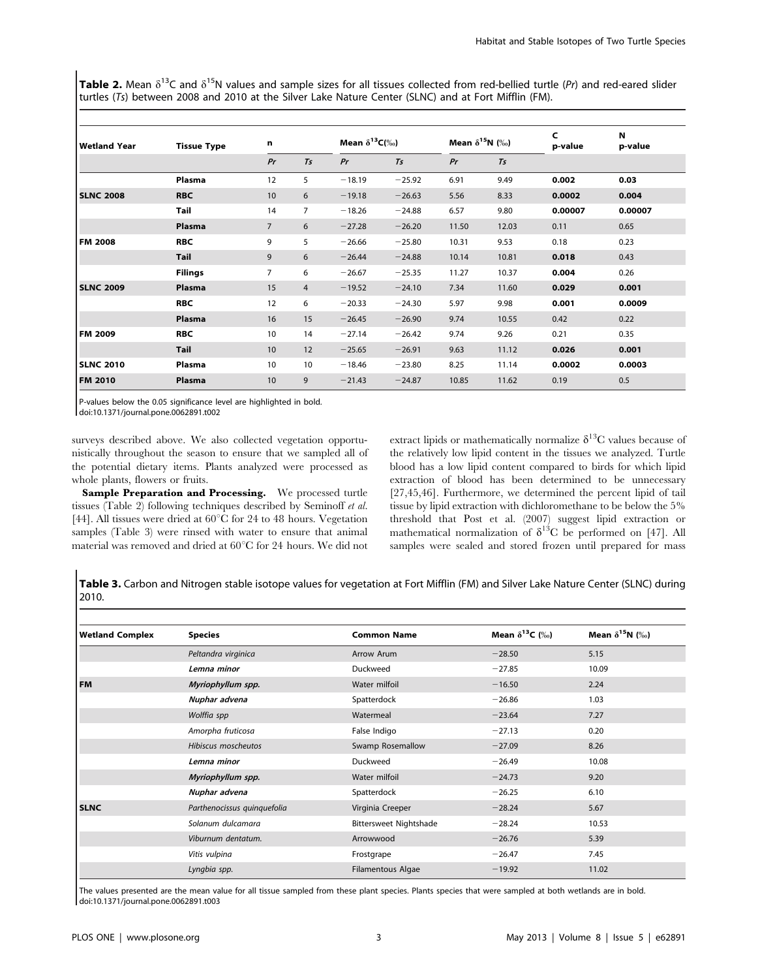Table 2. Mean  $\delta^{13}C$  and  $\delta^{15}N$  values and sample sizes for all tissues collected from red-bellied turtle (Pr) and red-eared slider turtles (Ts) between 2008 and 2010 at the Silver Lake Nature Center (SLNC) and at Fort Mifflin (FM).

| Wetland Year     | <b>Tissue Type</b> | n                |                | Mean $\delta^{13}C(\%_0)$ |                | Mean $\delta^{15}N$ (‰) |                | C<br>p-value | N<br>p-value |
|------------------|--------------------|------------------|----------------|---------------------------|----------------|-------------------------|----------------|--------------|--------------|
|                  |                    | Pr               | T <sub>S</sub> | Pr                        | T <sub>S</sub> | Pr                      | T <sub>S</sub> |              |              |
|                  | Plasma             | 12               | 5              | $-18.19$                  | $-25.92$       | 6.91                    | 9.49           | 0.002        | 0.03         |
| <b>SLNC 2008</b> | <b>RBC</b>         | 10 <sup>10</sup> | 6              | $-19.18$                  | $-26.63$       | 5.56                    | 8.33           | 0.0002       | 0.004        |
|                  | Tail               | 14               | $\overline{7}$ | $-18.26$                  | $-24.88$       | 6.57                    | 9.80           | 0.00007      | 0.00007      |
|                  | Plasma             | $\overline{7}$   | 6              | $-27.28$                  | $-26.20$       | 11.50                   | 12.03          | 0.11         | 0.65         |
| <b>FM 2008</b>   | <b>RBC</b>         | 9                | 5              | $-26.66$                  | $-25.80$       | 10.31                   | 9.53           | 0.18         | 0.23         |
|                  | Tail               | 9                | 6              | $-26.44$                  | $-24.88$       | 10.14                   | 10.81          | 0.018        | 0.43         |
|                  | <b>Filings</b>     | $\overline{7}$   | 6              | $-26.67$                  | $-25.35$       | 11.27                   | 10.37          | 0.004        | 0.26         |
| <b>SLNC 2009</b> | Plasma             | 15               | 4              | $-19.52$                  | $-24.10$       | 7.34                    | 11.60          | 0.029        | 0.001        |
|                  | <b>RBC</b>         | 12               | 6              | $-20.33$                  | $-24.30$       | 5.97                    | 9.98           | 0.001        | 0.0009       |
|                  | Plasma             | 16               | 15             | $-26.45$                  | $-26.90$       | 9.74                    | 10.55          | 0.42         | 0.22         |
| <b>FM 2009</b>   | <b>RBC</b>         | 10               | 14             | $-27.14$                  | $-26.42$       | 9.74                    | 9.26           | 0.21         | 0.35         |
|                  | Tail               | 10 <sup>°</sup>  | 12             | $-25.65$                  | $-26.91$       | 9.63                    | 11.12          | 0.026        | 0.001        |
| <b>SLNC 2010</b> | Plasma             | 10 <sup>10</sup> | 10             | $-18.46$                  | $-23.80$       | 8.25                    | 11.14          | 0.0002       | 0.0003       |
| <b>FM 2010</b>   | Plasma             | 10               | 9              | $-21.43$                  | $-24.87$       | 10.85                   | 11.62          | 0.19         | 0.5          |

P-values below the 0.05 significance level are highlighted in bold.

doi:10.1371/journal.pone.0062891.t002

surveys described above. We also collected vegetation opportunistically throughout the season to ensure that we sampled all of the potential dietary items. Plants analyzed were processed as whole plants, flowers or fruits.

Sample Preparation and Processing. We processed turtle tissues (Table 2) following techniques described by Seminoff et al. [44]. All tissues were dried at  $60^{\circ}$ C for 24 to 48 hours. Vegetation samples (Table 3) were rinsed with water to ensure that animal material was removed and dried at  $60^{\circ}$ C for 24 hours. We did not extract lipids or mathematically normalize  $\delta^{13}$ C values because of the relatively low lipid content in the tissues we analyzed. Turtle blood has a low lipid content compared to birds for which lipid extraction of blood has been determined to be unnecessary [27,45,46]. Furthermore, we determined the percent lipid of tail tissue by lipid extraction with dichloromethane to be below the 5% threshold that Post et al. (2007) suggest lipid extraction or mathematical normalization of  $\delta^{13}C$  be performed on [47]. All samples were sealed and stored frozen until prepared for mass

Table 3. Carbon and Nitrogen stable isotope values for vegetation at Fort Mifflin (FM) and Silver Lake Nature Center (SLNC) during 2010.

| <b>Wetland Complex</b> | <b>Species</b>              | <b>Common Name</b>     | Mean $\delta^{13}$ C (‰) | Mean $\delta^{15}$ N (‰) |  |
|------------------------|-----------------------------|------------------------|--------------------------|--------------------------|--|
|                        | Peltandra virginica         | Arrow Arum             | $-28.50$                 | 5.15                     |  |
|                        | Lemna minor                 | Duckweed               | $-27.85$                 | 10.09                    |  |
| <b>FM</b>              | Myriophyllum spp.           | Water milfoil          | $-16.50$                 | 2.24                     |  |
|                        | Nuphar advena               | Spatterdock            | $-26.86$                 | 1.03                     |  |
|                        | Wolffia spp                 | Watermeal              | $-23.64$                 | 7.27                     |  |
|                        | Amorpha fruticosa           | False Indigo           | $-27.13$                 | 0.20                     |  |
|                        | Hibiscus moscheutos         | Swamp Rosemallow       | $-27.09$                 | 8.26                     |  |
|                        | Lemna minor                 | Duckweed               | $-26.49$                 | 10.08                    |  |
|                        | Myriophyllum spp.           | Water milfoil          | $-24.73$                 | 9.20                     |  |
|                        | Nuphar advena               | Spatterdock            | $-26.25$                 | 6.10                     |  |
| <b>SLNC</b>            | Parthenocissus quinquefolia | Virginia Creeper       | $-28.24$                 | 5.67                     |  |
|                        | Solanum dulcamara           | Bittersweet Nightshade | $-28.24$                 | 10.53                    |  |
|                        | Viburnum dentatum.          | Arrowwood              | $-26.76$                 | 5.39                     |  |
|                        | Vitis vulpina               | Frostgrape             | $-26.47$                 | 7.45                     |  |
|                        | Lyngbia spp.                | Filamentous Algae      | $-19.92$                 | 11.02                    |  |

The values presented are the mean value for all tissue sampled from these plant species. Plants species that were sampled at both wetlands are in bold. doi:10.1371/journal.pone.0062891.t003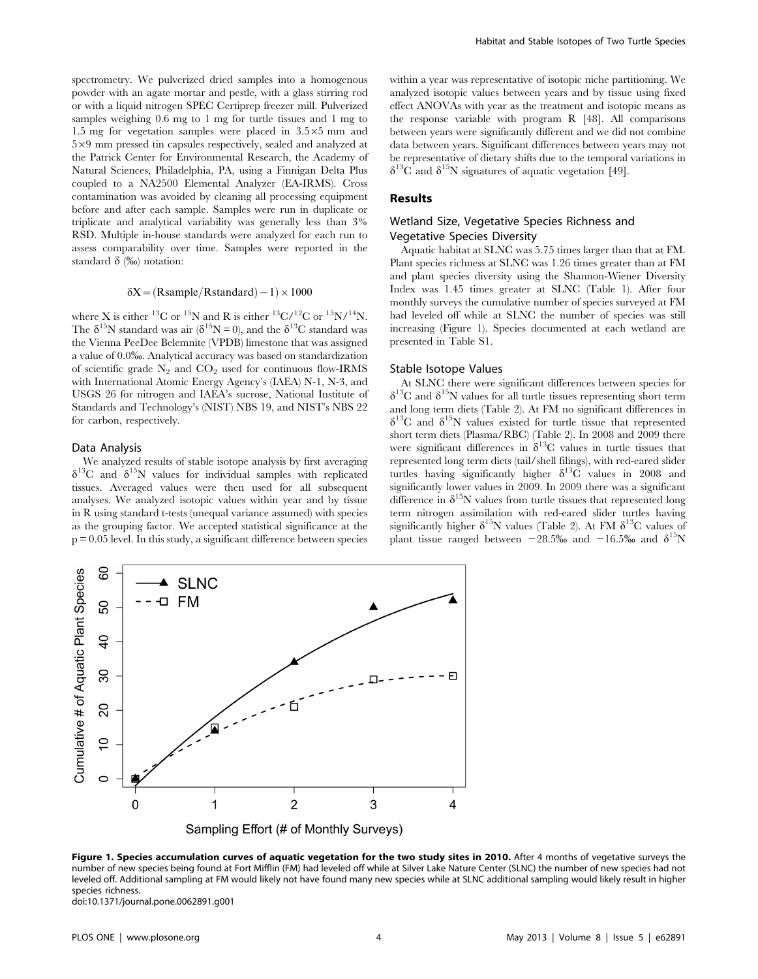spectrometry. We pulverized dried samples into a homogenous powder with an agate mortar and pestle, with a glass stirring rod or with a liquid nitrogen SPEC Certiprep freezer mill. Pulverized samples weighing 0.6 mg to 1 mg for turtle tissues and 1 mg to 1.5 mg for vegetation samples were placed in  $3.5 \times 5$  mm and  $5\times9$  mm pressed tin capsules respectively, sealed and analyzed at the Patrick Center for Environmental Research, the Academy of Natural Sciences, Philadelphia, PA, using a Finnigan Delta Plus coupled to a NA2500 Elemental Analyzer (EA-IRMS). Cross contamination was avoided by cleaning all processing equipment before and after each sample. Samples were run in duplicate or triplicate and analytical variability was generally less than 3% RSD. Multiple in-house standards were analyzed for each run to assess comparability over time. Samples were reported in the standard  $\delta$  (%) notation:

#### $\delta X = (R\tanh R\tanh A - 1) \times 1000$

where X is either <sup>13</sup>C or <sup>15</sup>N and R is either <sup>13</sup>C/<sup>12</sup>C or <sup>15</sup>N/<sup>14</sup>N. The  $\delta^{15}N$  standard was air ( $\delta^{15}N = 0$ ), and the  $\delta^{13}C$  standard was the Vienna PeeDee Belemnite (VPDB) limestone that was assigned a value of 0.0%. Analytical accuracy was based on standardization of scientific grade  $N_2$  and  $CO_2$  used for continuous flow-IRMS with International Atomic Energy Agency's (IAEA) N-1, N-3, and USGS 26 for nitrogen and IAEA's sucrose, National Institute of Standards and Technology's (NIST) NBS 19, and NIST's NBS 22 for carbon, respectively.

#### Data Analysis

We analyzed results of stable isotope analysis by first averaging  $\delta^{13}$ C and  $\delta^{15}$ N values for individual samples with replicated tissues. Averaged values were then used for all subsequent analyses. We analyzed isotopic values within year and by tissue in R using standard t-tests (unequal variance assumed) with species as the grouping factor. We accepted statistical significance at the  $p = 0.05$  level. In this study, a significant difference between species within a year was representative of isotopic niche partitioning. We analyzed isotopic values between years and by tissue using fixed effect ANOVAs with year as the treatment and isotopic means as the response variable with program R [48]. All comparisons between years were significantly different and we did not combine data between years. Significant differences between years may not be representative of dietary shifts due to the temporal variations in  $\delta^{13}$ C and  $\delta^{15}$ N signatures of aquatic vegetation [49].

### Results

# Wetland Size, Vegetative Species Richness and Vegetative Species Diversity

Aquatic habitat at SLNC was 5.75 times larger than that at FM. Plant species richness at SLNC was 1.26 times greater than at FM and plant species diversity using the Shannon-Wiener Diversity Index was 1.45 times greater at SLNC (Table 1). After four monthly surveys the cumulative number of species surveyed at FM had leveled off while at SLNC the number of species was still increasing (Figure 1). Species documented at each wetland are presented in Table S1.

#### Stable Isotope Values

At SLNC there were significant differences between species for  $\delta^{13}\text{C}$  and  $\delta^{15}\text{N}$  values for all turtle tissues representing short term and long term diets (Table 2). At FM no significant differences in  $\delta^{13}$ C and  $\delta^{15}$ N values existed for turtle tissue that represented short term diets (Plasma/RBC) (Table 2). In 2008 and 2009 there were significant differences in  $\delta^{13}$ C values in turtle tissues that represented long term diets (tail/shell filings), with red-eared slider turtles having significantly higher  $\delta^{13}$ C values in 2008 and significantly lower values in 2009. In 2009 there was a significant difference in  $\delta^{15}N$  values from turtle tissues that represented long term nitrogen assimilation with red-eared slider turtles having significantly higher  $\delta^{15}N$  values (Table 2). At FM  $\delta^{13}C$  values of plant tissue ranged between  $-28.5\%$  and  $-16.5\%$  and  $\delta^{15}N$ 



Figure 1. Species accumulation curves of aquatic vegetation for the two study sites in 2010. After 4 months of vegetative surveys the number of new species being found at Fort Mifflin (FM) had leveled off while at Silver Lake Nature Center (SLNC) the number of new species had not leveled off. Additional sampling at FM would likely not have found many new species while at SLNC additional sampling would likely result in higher species richness.

doi:10.1371/journal.pone.0062891.g001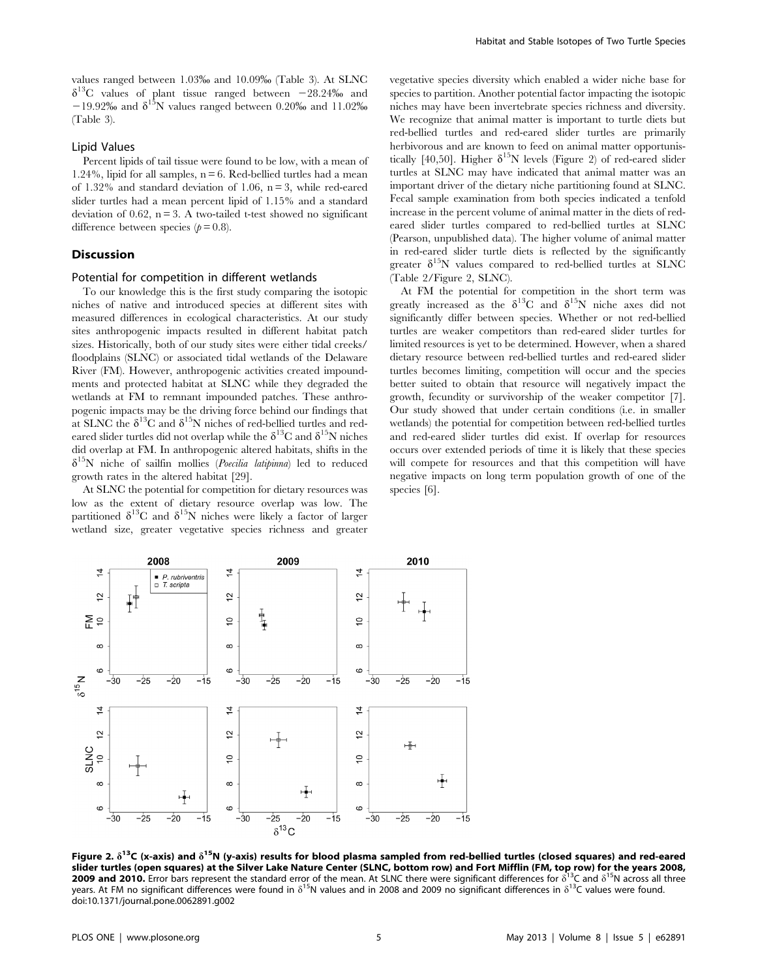values ranged between 1.03‰ and 10.09‰ (Table 3). At SLNC  $\delta^{13}$ C values of plant tissue ranged between -28.24‰ and  $-19.92\%$  and  $\delta^{15}N$  values ranged between 0.20% and 11.02% (Table 3).

# Lipid Values

Percent lipids of tail tissue were found to be low, with a mean of 1.24%, lipid for all samples,  $n = 6$ . Red-bellied turtles had a mean of 1.32% and standard deviation of 1.06,  $n = 3$ , while red-eared slider turtles had a mean percent lipid of 1.15% and a standard deviation of 0.62,  $n = 3$ . A two-tailed t-test showed no significant difference between species ( $p = 0.8$ ).

#### Discussion

#### Potential for competition in different wetlands

To our knowledge this is the first study comparing the isotopic niches of native and introduced species at different sites with measured differences in ecological characteristics. At our study sites anthropogenic impacts resulted in different habitat patch sizes. Historically, both of our study sites were either tidal creeks/ floodplains (SLNC) or associated tidal wetlands of the Delaware River (FM). However, anthropogenic activities created impoundments and protected habitat at SLNC while they degraded the wetlands at FM to remnant impounded patches. These anthropogenic impacts may be the driving force behind our findings that at SLNC the  $\delta^{13}$ C and  $\delta^{15}$ N niches of red-bellied turtles and redeared slider turtles did not overlap while the  $\delta^{13}$ C and  $\delta^{15}$ N niches did overlap at FM. In anthropogenic altered habitats, shifts in the  $\delta^{15}$ N niche of sailfin mollies (*Poecilia latipinna*) led to reduced growth rates in the altered habitat [29].

At SLNC the potential for competition for dietary resources was low as the extent of dietary resource overlap was low. The partitioned  $\delta^{13}C$  and  $\delta^{15}N$  niches were likely a factor of larger wetland size, greater vegetative species richness and greater

vegetative species diversity which enabled a wider niche base for species to partition. Another potential factor impacting the isotopic niches may have been invertebrate species richness and diversity. We recognize that animal matter is important to turtle diets but red-bellied turtles and red-eared slider turtles are primarily herbivorous and are known to feed on animal matter opportunistically [40,50]. Higher  $\delta^{15}N$  levels (Figure 2) of red-eared slider turtles at SLNC may have indicated that animal matter was an important driver of the dietary niche partitioning found at SLNC. Fecal sample examination from both species indicated a tenfold increase in the percent volume of animal matter in the diets of redeared slider turtles compared to red-bellied turtles at SLNC (Pearson, unpublished data). The higher volume of animal matter in red-eared slider turtle diets is reflected by the significantly greater  $\delta^{15}N$  values compared to red-bellied turtles at SLNC (Table 2/Figure 2, SLNC).

At FM the potential for competition in the short term was greatly increased as the  $\delta^{13}$ C and  $\delta^{15}$ N niche axes did not significantly differ between species. Whether or not red-bellied turtles are weaker competitors than red-eared slider turtles for limited resources is yet to be determined. However, when a shared dietary resource between red-bellied turtles and red-eared slider turtles becomes limiting, competition will occur and the species better suited to obtain that resource will negatively impact the growth, fecundity or survivorship of the weaker competitor [7]. Our study showed that under certain conditions (i.e. in smaller wetlands) the potential for competition between red-bellied turtles and red-eared slider turtles did exist. If overlap for resources occurs over extended periods of time it is likely that these species will compete for resources and that this competition will have negative impacts on long term population growth of one of the species [6].



Figure 2.  $\delta^{13}C$  (x-axis) and  $\delta^{15}N$  (y-axis) results for blood plasma sampled from red-bellied turtles (closed squares) and red-eared slider turtles (open squares) at the Silver Lake Nature Center (SLNC, bottom row) and Fort Mifflin (FM, top row) for the years 2008, **2009 and 2010.** Error bars represent the standard error of the mean. At SLNC there were significant differences for  $\delta^{13}$ C and  $\delta^{15}$ N across all three years. At FM no significant differences were found in  $\delta^{15}N$  values and in 2008 and 2009 no significant differences in  $\delta^{13}C$  values were found. doi:10.1371/journal.pone.0062891.g002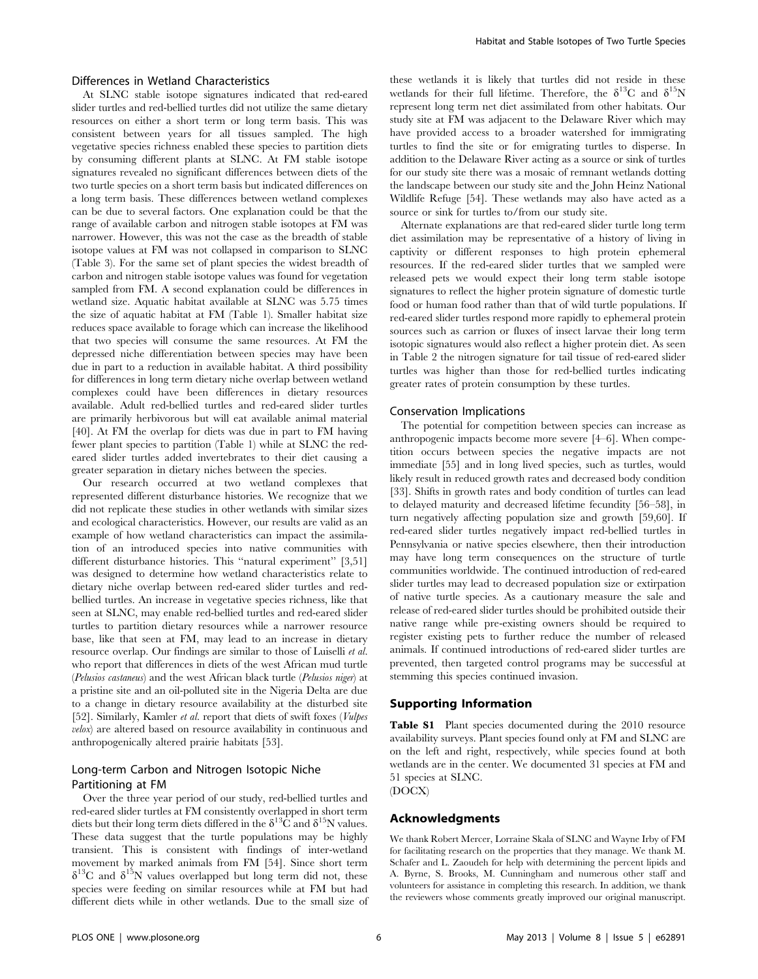#### Differences in Wetland Characteristics

At SLNC stable isotope signatures indicated that red-eared slider turtles and red-bellied turtles did not utilize the same dietary resources on either a short term or long term basis. This was consistent between years for all tissues sampled. The high vegetative species richness enabled these species to partition diets by consuming different plants at SLNC. At FM stable isotope signatures revealed no significant differences between diets of the two turtle species on a short term basis but indicated differences on a long term basis. These differences between wetland complexes can be due to several factors. One explanation could be that the range of available carbon and nitrogen stable isotopes at FM was narrower. However, this was not the case as the breadth of stable isotope values at FM was not collapsed in comparison to SLNC (Table 3). For the same set of plant species the widest breadth of carbon and nitrogen stable isotope values was found for vegetation sampled from FM. A second explanation could be differences in wetland size. Aquatic habitat available at SLNC was 5.75 times the size of aquatic habitat at FM (Table 1). Smaller habitat size reduces space available to forage which can increase the likelihood that two species will consume the same resources. At FM the depressed niche differentiation between species may have been due in part to a reduction in available habitat. A third possibility for differences in long term dietary niche overlap between wetland complexes could have been differences in dietary resources available. Adult red-bellied turtles and red-eared slider turtles are primarily herbivorous but will eat available animal material [40]. At FM the overlap for diets was due in part to FM having fewer plant species to partition (Table 1) while at SLNC the redeared slider turtles added invertebrates to their diet causing a greater separation in dietary niches between the species.

Our research occurred at two wetland complexes that represented different disturbance histories. We recognize that we did not replicate these studies in other wetlands with similar sizes and ecological characteristics. However, our results are valid as an example of how wetland characteristics can impact the assimilation of an introduced species into native communities with different disturbance histories. This ''natural experiment'' [3,51] was designed to determine how wetland characteristics relate to dietary niche overlap between red-eared slider turtles and redbellied turtles. An increase in vegetative species richness, like that seen at SLNC, may enable red-bellied turtles and red-eared slider turtles to partition dietary resources while a narrower resource base, like that seen at FM, may lead to an increase in dietary resource overlap. Our findings are similar to those of Luiselli et al. who report that differences in diets of the west African mud turtle (Pelusios castaneus) and the west African black turtle (Pelusios niger) at a pristine site and an oil-polluted site in the Nigeria Delta are due to a change in dietary resource availability at the disturbed site [52]. Similarly, Kamler et al. report that diets of swift foxes (Vulpes velox) are altered based on resource availability in continuous and anthropogenically altered prairie habitats [53].

# Long-term Carbon and Nitrogen Isotopic Niche Partitioning at FM

Over the three year period of our study, red-bellied turtles and red-eared slider turtles at FM consistently overlapped in short term diets but their long term diets differed in the  $\delta^{13}$ C and  $\delta^{15}$ N values. These data suggest that the turtle populations may be highly transient. This is consistent with findings of inter-wetland movement by marked animals from FM [54]. Since short term  $\delta^{13}$ C and  $\delta^{15}$ N values overlapped but long term did not, these species were feeding on similar resources while at FM but had different diets while in other wetlands. Due to the small size of these wetlands it is likely that turtles did not reside in these wetlands for their full lifetime. Therefore, the  $\delta^{13}C$  and  $\delta^{15}N$ represent long term net diet assimilated from other habitats. Our study site at FM was adjacent to the Delaware River which may have provided access to a broader watershed for immigrating turtles to find the site or for emigrating turtles to disperse. In addition to the Delaware River acting as a source or sink of turtles for our study site there was a mosaic of remnant wetlands dotting the landscape between our study site and the John Heinz National Wildlife Refuge [54]. These wetlands may also have acted as a source or sink for turtles to/from our study site.

Alternate explanations are that red-eared slider turtle long term diet assimilation may be representative of a history of living in captivity or different responses to high protein ephemeral resources. If the red-eared slider turtles that we sampled were released pets we would expect their long term stable isotope signatures to reflect the higher protein signature of domestic turtle food or human food rather than that of wild turtle populations. If red-eared slider turtles respond more rapidly to ephemeral protein sources such as carrion or fluxes of insect larvae their long term isotopic signatures would also reflect a higher protein diet. As seen in Table 2 the nitrogen signature for tail tissue of red-eared slider turtles was higher than those for red-bellied turtles indicating greater rates of protein consumption by these turtles.

#### Conservation Implications

The potential for competition between species can increase as anthropogenic impacts become more severe [4–6]. When competition occurs between species the negative impacts are not immediate [55] and in long lived species, such as turtles, would likely result in reduced growth rates and decreased body condition [33]. Shifts in growth rates and body condition of turtles can lead to delayed maturity and decreased lifetime fecundity [56–58], in turn negatively affecting population size and growth [59,60]. If red-eared slider turtles negatively impact red-bellied turtles in Pennsylvania or native species elsewhere, then their introduction may have long term consequences on the structure of turtle communities worldwide. The continued introduction of red-eared slider turtles may lead to decreased population size or extirpation of native turtle species. As a cautionary measure the sale and release of red-eared slider turtles should be prohibited outside their native range while pre-existing owners should be required to register existing pets to further reduce the number of released animals. If continued introductions of red-eared slider turtles are prevented, then targeted control programs may be successful at stemming this species continued invasion.

#### Supporting Information

Table S1 Plant species documented during the 2010 resource availability surveys. Plant species found only at FM and SLNC are on the left and right, respectively, while species found at both wetlands are in the center. We documented 31 species at FM and 51 species at SLNC. (DOCX)

# Acknowledgments

We thank Robert Mercer, Lorraine Skala of SLNC and Wayne Irby of FM for facilitating research on the properties that they manage. We thank M. Schafer and L. Zaoudeh for help with determining the percent lipids and A. Byrne, S. Brooks, M. Cunningham and numerous other staff and volunteers for assistance in completing this research. In addition, we thank the reviewers whose comments greatly improved our original manuscript.